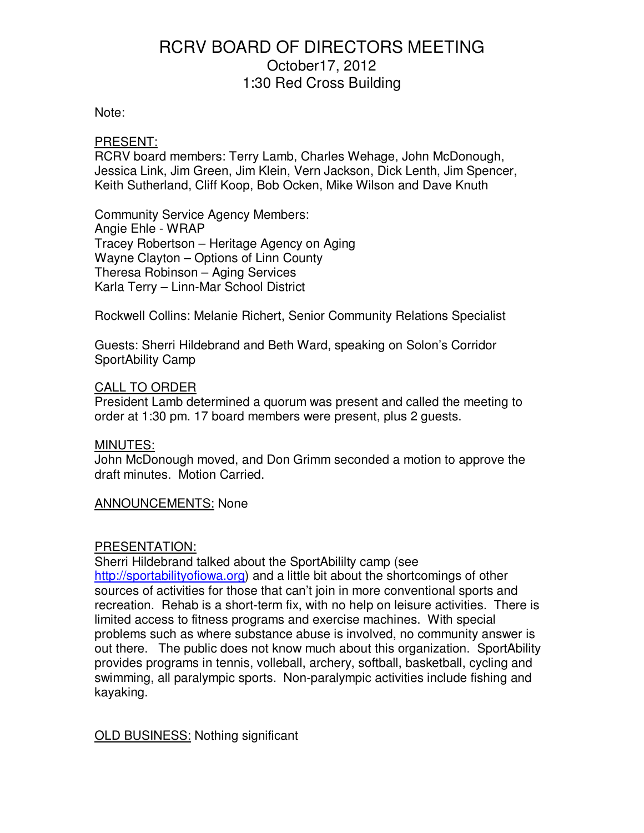### Note:

### PRESENT:

RCRV board members: Terry Lamb, Charles Wehage, John McDonough, Jessica Link, Jim Green, Jim Klein, Vern Jackson, Dick Lenth, Jim Spencer, Keith Sutherland, Cliff Koop, Bob Ocken, Mike Wilson and Dave Knuth

Community Service Agency Members: Angie Ehle - WRAP Tracey Robertson – Heritage Agency on Aging Wayne Clayton – Options of Linn County Theresa Robinson – Aging Services Karla Terry – Linn-Mar School District

Rockwell Collins: Melanie Richert, Senior Community Relations Specialist

Guests: Sherri Hildebrand and Beth Ward, speaking on Solon's Corridor SportAbility Camp

### CALL TO ORDER

President Lamb determined a quorum was present and called the meeting to order at 1:30 pm. 17 board members were present, plus 2 guests.

#### MINUTES:

John McDonough moved, and Don Grimm seconded a motion to approve the draft minutes. Motion Carried.

#### ANNOUNCEMENTS: None

#### PRESENTATION:

Sherri Hildebrand talked about the SportAbililty camp (see http://sportabilityofiowa.org) and a little bit about the shortcomings of other sources of activities for those that can't join in more conventional sports and recreation. Rehab is a short-term fix, with no help on leisure activities. There is limited access to fitness programs and exercise machines. With special problems such as where substance abuse is involved, no community answer is out there. The public does not know much about this organization. SportAbility provides programs in tennis, volleball, archery, softball, basketball, cycling and swimming, all paralympic sports. Non-paralympic activities include fishing and kayaking.

OLD BUSINESS: Nothing significant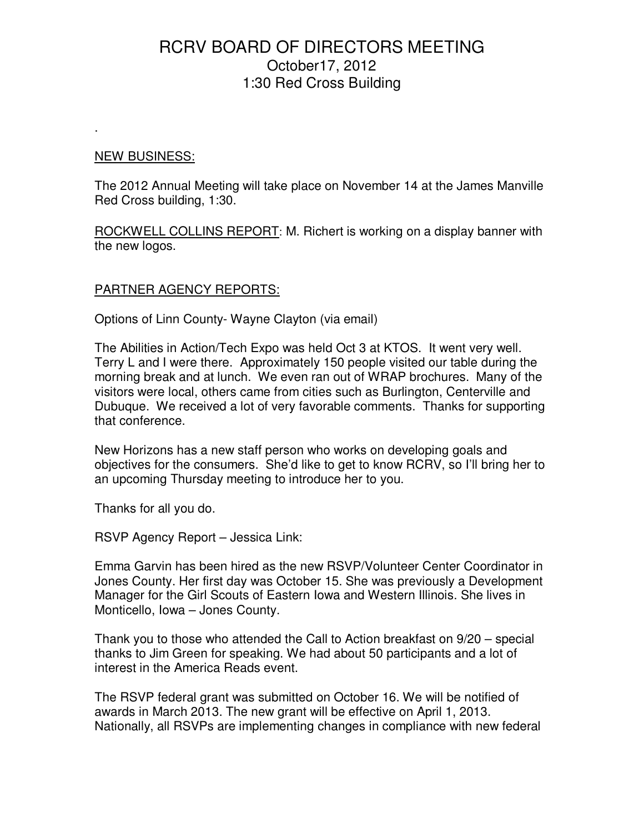#### NEW BUSINESS:

.

The 2012 Annual Meeting will take place on November 14 at the James Manville Red Cross building, 1:30.

ROCKWELL COLLINS REPORT: M. Richert is working on a display banner with the new logos.

## PARTNER AGENCY REPORTS:

Options of Linn County- Wayne Clayton (via email)

The Abilities in Action/Tech Expo was held Oct 3 at KTOS. It went very well. Terry L and I were there. Approximately 150 people visited our table during the morning break and at lunch. We even ran out of WRAP brochures. Many of the visitors were local, others came from cities such as Burlington, Centerville and Dubuque. We received a lot of very favorable comments. Thanks for supporting that conference.

New Horizons has a new staff person who works on developing goals and objectives for the consumers. She'd like to get to know RCRV, so I'll bring her to an upcoming Thursday meeting to introduce her to you.

Thanks for all you do.

RSVP Agency Report – Jessica Link:

Emma Garvin has been hired as the new RSVP/Volunteer Center Coordinator in Jones County. Her first day was October 15. She was previously a Development Manager for the Girl Scouts of Eastern Iowa and Western Illinois. She lives in Monticello, Iowa – Jones County.

Thank you to those who attended the Call to Action breakfast on 9/20 – special thanks to Jim Green for speaking. We had about 50 participants and a lot of interest in the America Reads event.

The RSVP federal grant was submitted on October 16. We will be notified of awards in March 2013. The new grant will be effective on April 1, 2013. Nationally, all RSVPs are implementing changes in compliance with new federal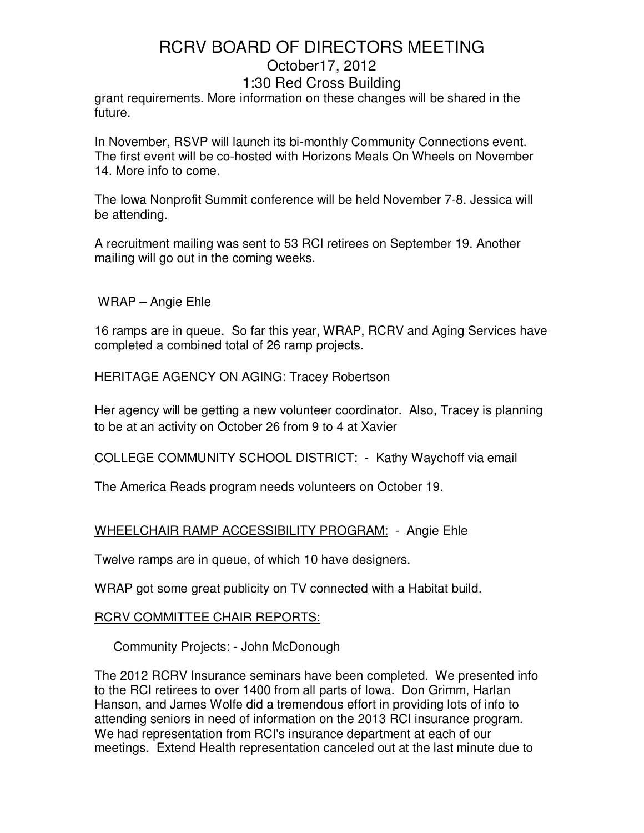grant requirements. More information on these changes will be shared in the future.

In November, RSVP will launch its bi-monthly Community Connections event. The first event will be co-hosted with Horizons Meals On Wheels on November 14. More info to come.

The Iowa Nonprofit Summit conference will be held November 7-8. Jessica will be attending.

A recruitment mailing was sent to 53 RCI retirees on September 19. Another mailing will go out in the coming weeks.

WRAP – Angie Ehle

16 ramps are in queue. So far this year, WRAP, RCRV and Aging Services have completed a combined total of 26 ramp projects.

HERITAGE AGENCY ON AGING: Tracey Robertson

Her agency will be getting a new volunteer coordinator. Also, Tracey is planning to be at an activity on October 26 from 9 to 4 at Xavier

COLLEGE COMMUNITY SCHOOL DISTRICT: - Kathy Waychoff via email

The America Reads program needs volunteers on October 19.

## WHEELCHAIR RAMP ACCESSIBILITY PROGRAM: - Angie Ehle

Twelve ramps are in queue, of which 10 have designers.

WRAP got some great publicity on TV connected with a Habitat build.

#### RCRV COMMITTEE CHAIR REPORTS:

Community Projects: - John McDonough

The 2012 RCRV Insurance seminars have been completed. We presented info to the RCI retirees to over 1400 from all parts of Iowa. Don Grimm, Harlan Hanson, and James Wolfe did a tremendous effort in providing lots of info to attending seniors in need of information on the 2013 RCI insurance program. We had representation from RCI's insurance department at each of our meetings. Extend Health representation canceled out at the last minute due to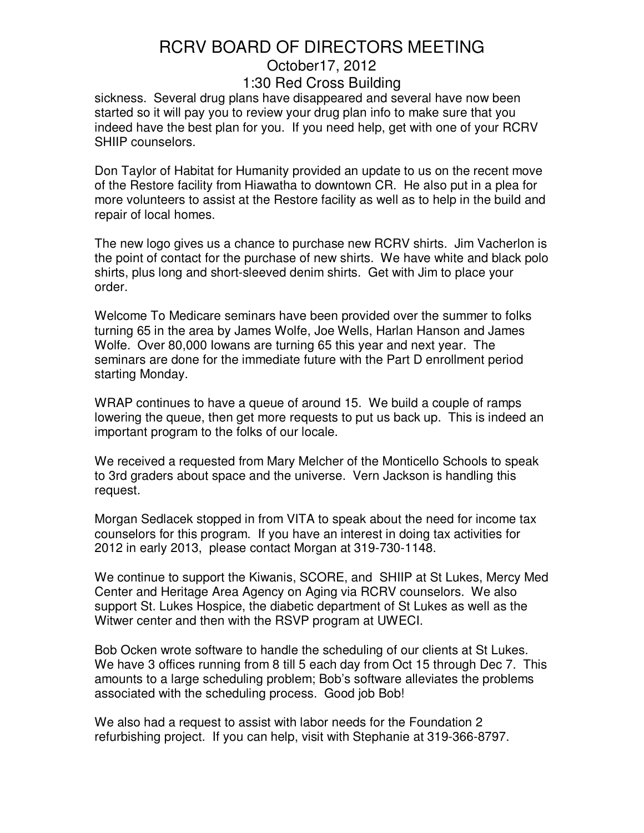sickness. Several drug plans have disappeared and several have now been started so it will pay you to review your drug plan info to make sure that you indeed have the best plan for you. If you need help, get with one of your RCRV SHIIP counselors.

Don Taylor of Habitat for Humanity provided an update to us on the recent move of the Restore facility from Hiawatha to downtown CR. He also put in a plea for more volunteers to assist at the Restore facility as well as to help in the build and repair of local homes.

The new logo gives us a chance to purchase new RCRV shirts. Jim Vacherlon is the point of contact for the purchase of new shirts. We have white and black polo shirts, plus long and short-sleeved denim shirts. Get with Jim to place your order.

Welcome To Medicare seminars have been provided over the summer to folks turning 65 in the area by James Wolfe, Joe Wells, Harlan Hanson and James Wolfe. Over 80,000 Iowans are turning 65 this year and next year. The seminars are done for the immediate future with the Part D enrollment period starting Monday.

WRAP continues to have a queue of around 15. We build a couple of ramps lowering the queue, then get more requests to put us back up. This is indeed an important program to the folks of our locale.

We received a requested from Mary Melcher of the Monticello Schools to speak to 3rd graders about space and the universe. Vern Jackson is handling this request.

Morgan Sedlacek stopped in from VITA to speak about the need for income tax counselors for this program. If you have an interest in doing tax activities for 2012 in early 2013, please contact Morgan at 319-730-1148.

We continue to support the Kiwanis, SCORE, and SHIIP at St Lukes, Mercy Med Center and Heritage Area Agency on Aging via RCRV counselors. We also support St. Lukes Hospice, the diabetic department of St Lukes as well as the Witwer center and then with the RSVP program at UWECI.

Bob Ocken wrote software to handle the scheduling of our clients at St Lukes. We have 3 offices running from 8 till 5 each day from Oct 15 through Dec 7. This amounts to a large scheduling problem; Bob's software alleviates the problems associated with the scheduling process. Good job Bob!

We also had a request to assist with labor needs for the Foundation 2 refurbishing project. If you can help, visit with Stephanie at 319-366-8797.